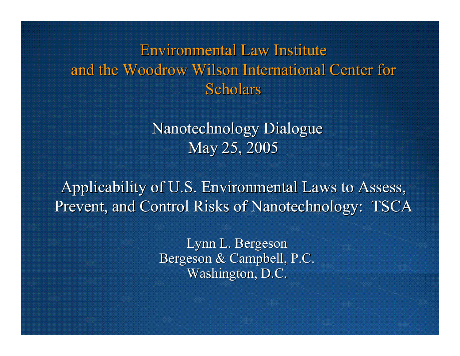### **Environmental Law Institute** and the Woodrow Wilson International Center for Scholars

Nanotechnology Dialogue May 25, 2005

Applicability of U.S. Environmental Laws to Assess, Prevent, and Control Risks of Nanotechnology: TSCA

> Lynn L. Bergeson Bergeson & Campbell, P.C.  $\overline{\text{Washington, D.C.}}$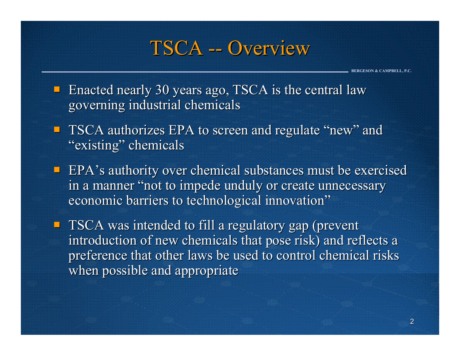### TSCA -- Overview

- **Enacted nearly 30 years ago, TSCA is the central law** governing industrial chemicals governing industrial chemicals
- **TSCA authorizes EPA to screen and regulate "new" and TSCA authorizes EPA to screen and regulate "new" and** "existing" chemicals
- $\blacksquare$  EPA's authority over chemical substances must be exercised in a manner "not to impede unduly or create unnecessary economic barriers to technological innovation"
- **TSCA** was intended to fill a regulatory gap (prevent introduction of new chemicals that pose risk) and reflects a preference that other laws be used to control chemical risks when possible and appropriate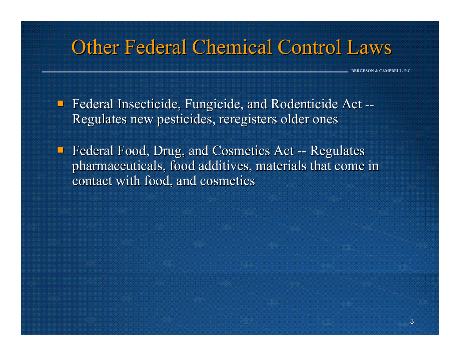## **Other Federal Chemical Control Laws**

- **Federal Insecticide, Fungicide, and Rodenticide Act --**Regulates new pesticides, reregisters older ones
- $\blacksquare$  Federal Food, Drug, and Cosmetics Act -- Regulates pharmaceuticals, food additives, materials that come in pharmaceuticals, food additives, materials that come in contact with food, and cosmetics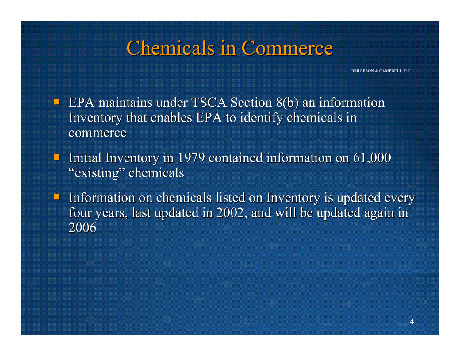### **Chemicals in Commerce**

- **EPA** maintains under TSCA Section  $8(b)$  an information Inventory that enables EPA to identify chemicals in commerce
- Initial Inventory in 1979 contained information on  $61,000$ "existing" chemicals
- $\blacksquare$  Information on chemicals listed on Inventory is updated every four years, last updated in 2002, and will be updated again in 2006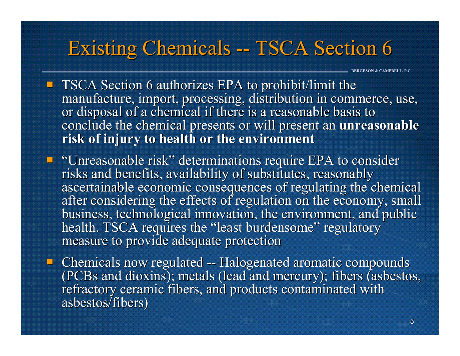## Existing Chemicals -- TSCA Section 6

- $\blacksquare$  TSCA Section 6 authorizes EPA to prohibit/limit the manufacture, import, processing, distribution in commerce, use, or disposal of a chemical if there is a reasonable basis to conclude the chemical presents or will present an **unreasonable risk of injury to health or the environment risk of injury to health or the environment**
- "Unreasonable risk" determinations require EPA to consider "Unreasonable risk" determinations require EPA to consider risks and benefits, availability of substitutes, reasonably risks and benefits, availability of substitutes, reasonably ascertainable economic consequences of regulating the chemical after considering the effects of regulation on the economy, small business, technological innovation, the environment, and public health. TSCA requires the "least burdensome" regulatory measure to provide adequate protection
- $\blacksquare$  Chemicals now regulated -- Halogenated aromatic compounds (PCBs and dioxins); metals (lead and mercury); fibers (asbestos, (PCBs and dioxins); metals (lead and mercury); fibers (asbestos, refractory ceramic fibers, and products contaminated with asbestos/fibers)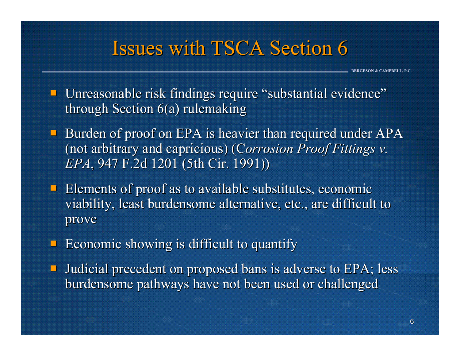## **Issues with TSCA Section 6**

- **Unreasonable risk findings require "substantial evidence"** through Section  $6(a)$  rulemaking
- Burden of proof on EPA is heavier than required under  $APA$ (not arbitrary and capricious) (Corrosion Proof Fittings v. *EPA*, 947 F.2d 1201 (5th Cir. 1991))
- $\blacksquare$  Elements of proof as to available substitutes, economic viability, least burdensome alternative, etc., are difficult to prove
- $\blacksquare$  Economic showing is difficult to quantify
- **Judicial precedent on proposed bans is adverse to EPA; less** burdensome pathways have not been used or challenged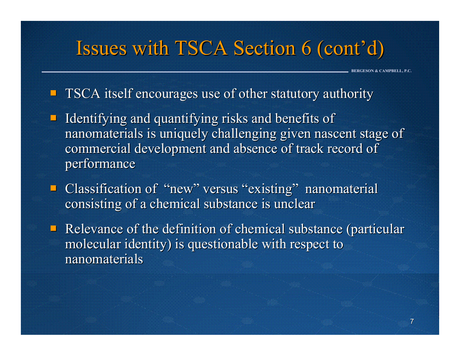## Issues with TSCA Section 6 (cont'd)

**BERGESON & CAMPBELL, P.C.**

#### **TSCA** itself encourages use of other statutory authority

- Identifying and quantifying risks and benefits of nanomaterials is uniquely challenging given nascent stage of commercial development and absence of track record of performance
- **Classification of "new" versus "existing" nanomaterial** consisting of a chemical substance is unclear
- $\blacksquare$  Relevance of the definition of chemical substance (particular molecular identity) is questionable with respect to nanomaterials nanomaterials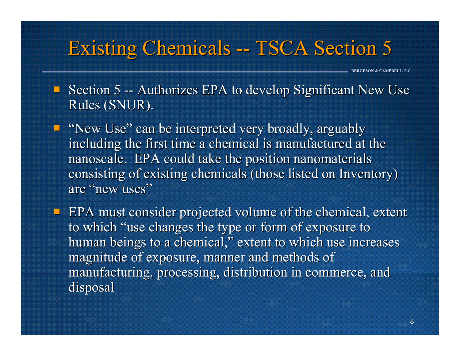## Existing Chemicals -- TSCA Section 5

- Section 5 -- Authorizes EPA to develop Significant New Use Rules (SNUR).
- **E** "New Use" can be interpreted very broadly, arguably including the first time a chemical is manufactured at the nanoscale. EPA could take the position nanomaterials consisting of existing chemicals (those listed on Inventory) are "new uses"
- $\blacksquare$  EPA must consider projected volume of the chemical, extent to which "use changes the type or form of exposure to human beings to a chemical," extent to which use increases magnitude of exposure, manner and methods of manufacturing, processing, distribution in commerce, and disposal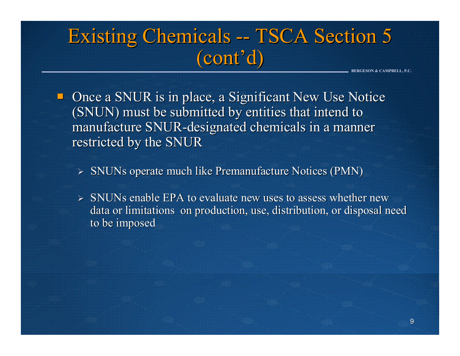## Existing Chemicals -- TSCA Section 5 (cont'd) (cont'd)

- $\blacksquare$  Once a SNUR is in place, a Significant New Use Notice (SNUN) must be submitted by entities that intend to manufacture SNUR-designated chemicals in a manner restricted by the SNUR
	- $\triangleright$  SNUNs operate much like Premanufacture Notices (PMN)
	- $\triangleright$  SNUNs enable EPA to evaluate new uses to assess whether new data or limitations on production, use, distribution, or disposal need to be imposed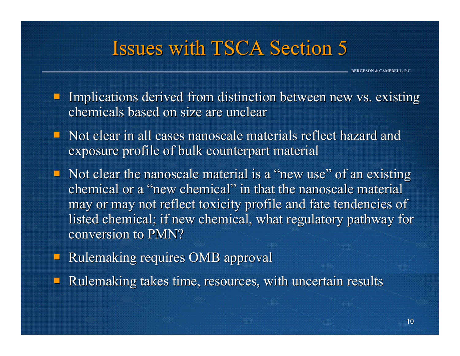## Issues with TSCA Section 5

- Implications derived from distinction between new vs. existing chemicals based on size are unclear chemicals based on size are unclear
- $\blacksquare$  Not clear in all cases nanoscale materials reflect hazard and exposure profile of bulk counterpart material
- $\blacksquare$  Not clear the nanoscale material is a "new use" of an existing chemical or a "new chemical" in that the nanoscale material may or may not reflect toxicity profile and fate tendencies of listed chemical; if new chemical, what regulatory pathway for conversion to PMN?
- **Rulemaking requires OMB approval**
- H Rulemaking takes time, resources, with uncertain results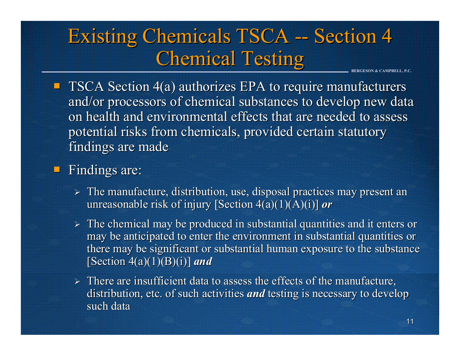### **BERGESON & CAMPBELL, P.C.** Existing Chemicals TSCA -- Section 4 **Chemical Testing**

 $\blacksquare$  TSCA Section 4(a) authorizes EPA to require manufacturers and/or processors of chemical substances to develop new data on health and environmental effects that are needed to assess potential risks from chemicals, provided certain statutory findings are made

#### **Findings are:**

- $\triangleright$  The manufacture, distribution, use, disposal practices may present an unreasonable risk of injury [Section 4(a)(1)(A)(i)] *or*
- $\triangleright$  The chemical may be produced in substantial quantities and it enters or may be anticipated to enter the environment in substantial quantities or there may be significant or substantial human exposure to the substance [Section  $4(a)(1)(B)(i)$ ] *and*
- $\triangleright$  There are insufficient data to assess the effects of the manufacture, distribution, etc. of such activities *and* testing is necessary to develop such data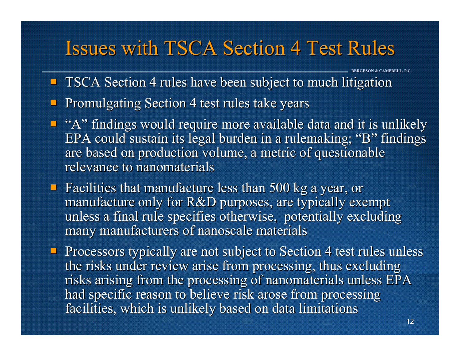### **Issues with TSCA Section 4 Test Rules**

- **TSCA Section 4 rules have been subject to much litigation**
- **Promulgating Section 4 test rules take years**
- $\blacksquare$  "A" findings would require more available data and it is unlikely EPA could sustain its legal burden in a rulemaking; "B" findings are based on production volume, a metric of questionable relevance to nanomaterials
- Facilities that manufacture less than  $500$  kg a year, or manufacture only for  $R&D$  purposes, are typically exempt unless a final rule specifies otherwise, potentially excluding many manufacturers of nanoscale materials
- Processors typically are not subject to Section 4 test rules unless the risks under review arise from processing, thus excluding risks arising from the processing of nanomaterials unless EPA had specific reason to believe risk arose from processing facilities, which is unlikely based on data limitations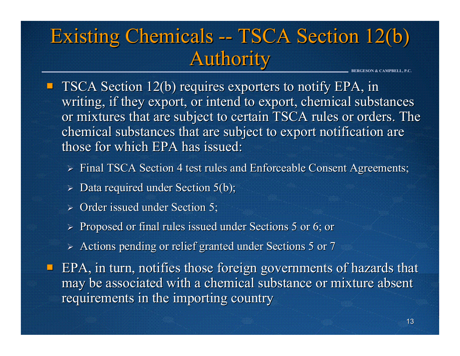## Existing Chemicals -- TSCA Section 12(b) **Authority**

- $\blacksquare$  TSCA Section 12(b) requires exporters to notify EPA, in writing, if they export, or intend to export, chemical substances or mixtures that are subject to certain TSCA rules or orders. The chemical substances that are subject to export notification are those for which EPA has issued:
	- $\triangleright$  Final TSCA Section 4 test rules and Enforceable Consent Agreements;
	- $\triangleright$  Data required under Section 5(b);
	- $\triangleright$  Order issued under Section 5;
	- $\ge$  Proposed or final rules issued under Sections 5 or 6; or
	- $\triangleright$  Actions pending or relief granted under Sections 5 or 7
- $\blacksquare$  EPA, in turn, notifies those foreign governments of hazards that may be associated with a chemical substance or mixture absent requirements in the importing country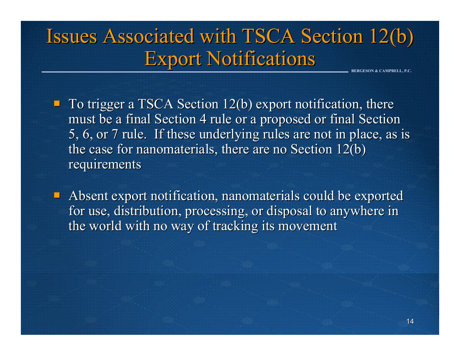### **BERGESON & CAMPBELL, P.C.** Issues Associated with TSCA Section 12(b) **Export Notifications**

 $\blacksquare$  To trigger a TSCA Section 12(b) export notification, there must be a final Section 4 rule or a proposed or final Section 5, 6, or 7 rule. If these underlying rules are not in place, as is the case for nanomaterials, there are no Section  $12(b)$ requirements

1 Absent export notification, nanomaterials could be exported for use, distribution, processing, or disposal to anywhere in the world with no way of tracking its movement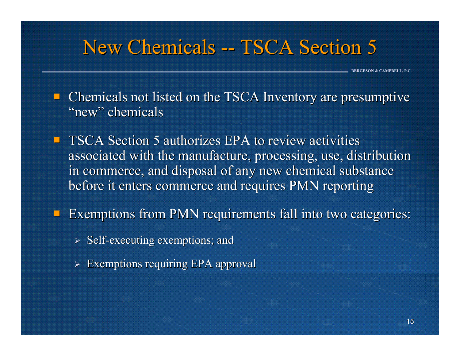## New Chemicals -- TSCA Section 5

**BERGESON & CAMPBELL, P.C.**

 $\blacksquare$  Chemicals not listed on the TSCA Inventory are presumptive "new" chemicals

 $\blacksquare$  TSCA Section 5 authorizes EPA to review activities associated with the manufacture, processing, use, distribution in commerce, and disposal of any new chemical substance before it enters commerce and requires PMN reporting

þ. Exemptions from PMN requirements fall into two categories:

- $\triangleright$  Self-executing exemptions; and
- $\triangleright$  Exemptions requiring EPA approval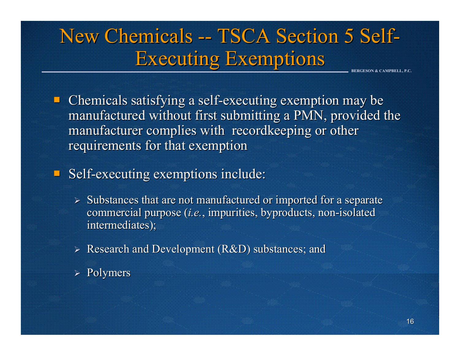# New Chemicals -- TSCA Section 5 Self-**Executing Exemptions**

**BERGESON & CAMPBELL, P.C.**

 $\blacksquare$  Chemicals satisfying a self-executing exemption may be manufactured without first submitting a PMN, provided the manufacturer complies with recordkeeping or other requirements for that exemption

#### **Self-executing exemptions include:**

- $\triangleright$  Substances that are not manufactured or imported for a separate commercial purpose (*i.e*., impurities, byproducts, non-isolated intermediates);
- $\triangleright$  Research and Development (R&D) substances; and
- $\triangleright$  Polymers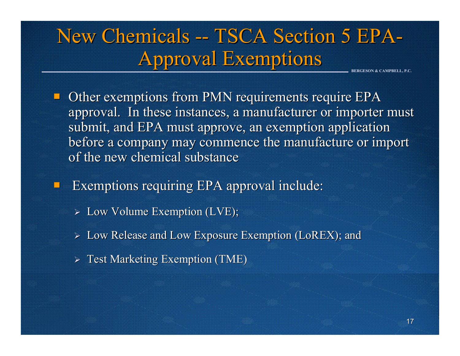#### **BERGESON & CAMPBELL, P.C.** New Chemicals -- TSCA Section 5 EPA **Approval Exemptions**

Other exemptions from PMN requirements require EPA approval. In these instances, a manufacturer or importer must submit, and EPA must approve, an exemption application before a company may commence the manufacture or import of the new chemical substance

Exemptions requiring EPA approval include:

- ¾ Low Volume Exemption (LVE); Low Volume Exemption (LVE);
- ¾ Low Release and Low Exposure Exemption (LoREX); and Low Release and Low Exposure Exemption (LoREX); and
- $\triangleright$  Test Marketing Exemption (TME)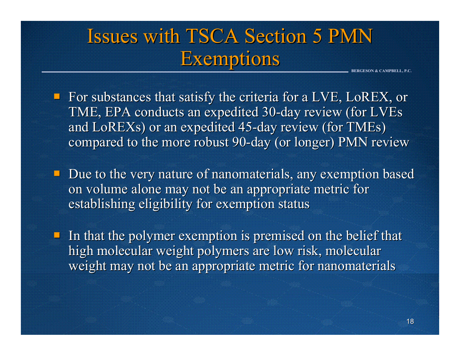## Issues with TSCA Section 5 PMN **Exemptions**

**BERGESON & CAMPBELL, P.C.**

For substances that satisfy the criteria for a LVE, LoREX, or TME, EPA conducts an expedited 30-day review (for LVEs and LoREXs) or an expedited 45-day review (for TMEs) compared to the more robust 90-day (or longer) PMN review

 $\blacksquare$  Due to the very nature of nanomaterials, any exemption based on volume alone may not be an appropriate metric for establishing eligibility for exemption status

In that the polymer exemption is premised on the belief that  $\blacksquare$ high molecular weight polymers are low risk, molecular weight may not be an appropriate metric for nanomaterials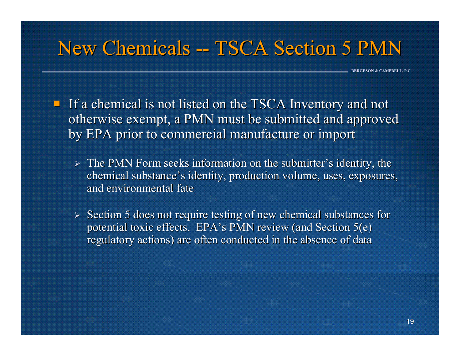## New Chemicals -- TSCA Section 5 PMN

- If a chemical is not listed on the TSCA Inventory and not otherwise exempt, a PMN must be submitted and approved by EPA prior to commercial manufacture or import by EPA prior to commercial manufacture or import
	- $\triangleright$  The PMN Form seeks information on the submitter's identity, the chemical substance's identity, production volume, uses, exposures, and environmental fate
	- $\geq$  Section 5 does not require testing of new chemical substances for potential toxic effects. EPA's PMN review (and Section  $5(e)$ ) regulatory actions) are often conducted in the absence of data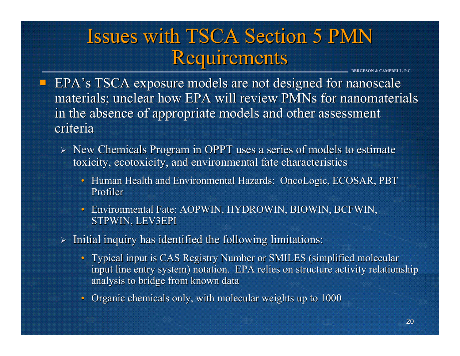## Issues with TSCA Section 5 PMN Requirements

- **EPA's TSCA exposure models are not designed for nanoscale** materials; unclear how EPA will review PMNs for nanomaterials in the absence of appropriate models and other assessment criteria
	- $\triangleright$  New Chemicals Program in OPPT uses a series of models to estimate toxicity, ecotoxicity, and environmental fate characteristics
		- Human Health and Environmental Hazards: OncoLogic, ECOSAR, PBT Profiler
		- Environmental Fate: AOPWIN, HYDROWIN, BIOWIN, BCFWIN, STPWIN, LEV3EPI
	- $\triangleright$  Initial inquiry has identified the following limitations:
		- Typical input is CAS Registry Number or SMILES (simplified molecular input line entry system) notation. EPA relies on structure activity relationship analysis to bridge from known data
		- Organic chemicals only, with molecular weights up to 1000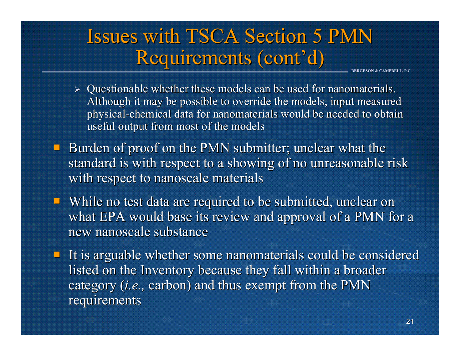## Issues with TSCA Section 5 PMN Requirements (cont'd)

- $\triangleright$  Questionable whether these models can be used for nanomaterials. Although it may be possible to override the models, input measured physical-chemical data for nanomaterials would be needed to obtain useful output from most of the models
- L Burden of proof on the PMN submitter; unclear what the standard is with respect to a showing of no unreasonable risk with respect to nanoscale materials
- $\blacksquare$  While no test data are required to be submitted, unclear on what EPA would base its review and approval of a PMN for a new nanoscale substance
- $\blacksquare$  It is arguable whether some nanomaterials could be considered listed on the Inventory because they fall within a broader category (*i.e.*, carbon) and thus exempt from the PMN requirements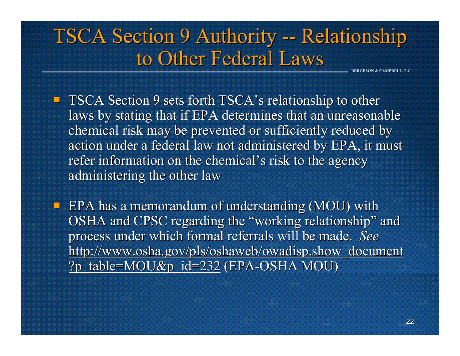#### **BERGESON & CAMPBELL, P.C.** TSCA Section 9 Authority -- Relationship to Other Federal Laws

- **TSCA Section 9 sets forth TSCA's relationship to other** laws by stating that if EPA determines that an unreasonable chemical risk may be prevented or sufficiently reduced by action under a federal law not administered by EPA, it must refer information on the chemical's risk to the agency administering the other law
- $\blacksquare$  EPA has a memorandum of understanding (MOU) with OSHA and CPSC regarding the "working relationship" and process under which formal referrals will be made. See http://www.osha.gov/pls/oshaweb/owadisp.show\_document ?p\_table=MOU&p\_id=232 (EPA-OSHA MOU)